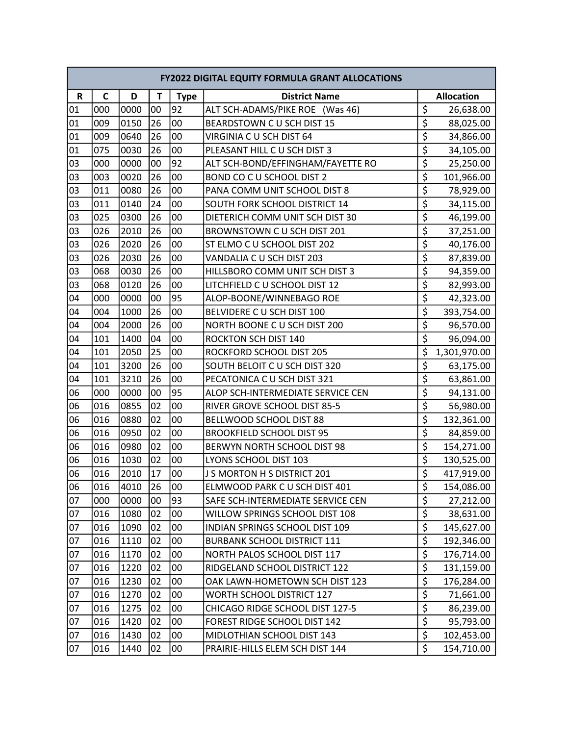|    | <b>FY2022 DIGITAL EQUITY FORMULA GRANT ALLOCATIONS</b> |      |    |             |                                    |                                     |                   |  |  |
|----|--------------------------------------------------------|------|----|-------------|------------------------------------|-------------------------------------|-------------------|--|--|
| R  | $\mathsf{C}$                                           | D    | T  | <b>Type</b> | <b>District Name</b>               |                                     | <b>Allocation</b> |  |  |
| 01 | 000                                                    | 0000 | 00 | 92          | ALT SCH-ADAMS/PIKE ROE (Was 46)    | \$                                  | 26,638.00         |  |  |
| 01 | 009                                                    | 0150 | 26 | 00          | BEARDSTOWN C U SCH DIST 15         | $\overline{\xi}$                    | 88,025.00         |  |  |
| 01 | 009                                                    | 0640 | 26 | 00          | VIRGINIA C U SCH DIST 64           | \$                                  | 34,866.00         |  |  |
| 01 | 075                                                    | 0030 | 26 | 00          | PLEASANT HILL C U SCH DIST 3       | \$                                  | 34,105.00         |  |  |
| 03 | 000                                                    | 0000 | 00 | 92          | ALT SCH-BOND/EFFINGHAM/FAYETTE RO  | \$                                  | 25,250.00         |  |  |
| 03 | 003                                                    | 0020 | 26 | 00          | BOND CO C U SCHOOL DIST 2          | \$                                  | 101,966.00        |  |  |
| 03 | 011                                                    | 0080 | 26 | 00          | PANA COMM UNIT SCHOOL DIST 8       | $\overline{\xi}$                    | 78,929.00         |  |  |
| 03 | 011                                                    | 0140 | 24 | 00          | SOUTH FORK SCHOOL DISTRICT 14      | \$                                  | 34,115.00         |  |  |
| 03 | 025                                                    | 0300 | 26 | 00          | DIETERICH COMM UNIT SCH DIST 30    | $\overline{\boldsymbol{\varsigma}}$ | 46,199.00         |  |  |
| 03 | 026                                                    | 2010 | 26 | 00          | BROWNSTOWN C U SCH DIST 201        | \$                                  | 37,251.00         |  |  |
| 03 | 026                                                    | 2020 | 26 | 00          | ST ELMO C U SCHOOL DIST 202        | \$                                  | 40,176.00         |  |  |
| 03 | 026                                                    | 2030 | 26 | 00          | VANDALIA C U SCH DIST 203          | $\overline{\xi}$                    | 87,839.00         |  |  |
| 03 | 068                                                    | 0030 | 26 | 00          | HILLSBORO COMM UNIT SCH DIST 3     | \$                                  | 94,359.00         |  |  |
| 03 | 068                                                    | 0120 | 26 | 00          | LITCHFIELD C U SCHOOL DIST 12      | \$                                  | 82,993.00         |  |  |
| 04 | 000                                                    | 0000 | 00 | 95          | ALOP-BOONE/WINNEBAGO ROE           | \$                                  | 42,323.00         |  |  |
| 04 | 004                                                    | 1000 | 26 | 00          | BELVIDERE C U SCH DIST 100         | \$                                  | 393,754.00        |  |  |
| 04 | 004                                                    | 2000 | 26 | 00          | NORTH BOONE C U SCH DIST 200       | \$                                  | 96,570.00         |  |  |
| 04 | 101                                                    | 1400 | 04 | 00          | <b>ROCKTON SCH DIST 140</b>        | \$                                  | 96,094.00         |  |  |
| 04 | 101                                                    | 2050 | 25 | 00          | ROCKFORD SCHOOL DIST 205           | \$                                  | 1,301,970.00      |  |  |
| 04 | 101                                                    | 3200 | 26 | 00          | SOUTH BELOIT C U SCH DIST 320      | $\overline{\xi}$                    | 63,175.00         |  |  |
| 04 | 101                                                    | 3210 | 26 | 00          | PECATONICA C U SCH DIST 321        | $\overline{\xi}$                    | 63,861.00         |  |  |
| 06 | 000                                                    | 0000 | 00 | 95          | ALOP SCH-INTERMEDIATE SERVICE CEN  | \$                                  | 94,131.00         |  |  |
| 06 | 016                                                    | 0855 | 02 | 00          | RIVER GROVE SCHOOL DIST 85-5       | $\overline{\boldsymbol{\varsigma}}$ | 56,980.00         |  |  |
| 06 | 016                                                    | 0880 | 02 | 00          | BELLWOOD SCHOOL DIST 88            | \$                                  | 132,361.00        |  |  |
| 06 | 016                                                    | 0950 | 02 | 00          | <b>BROOKFIELD SCHOOL DIST 95</b>   | \$                                  | 84,859.00         |  |  |
| 06 | 016                                                    | 0980 | 02 | 00          | BERWYN NORTH SCHOOL DIST 98        | $\overline{\xi}$                    | 154,271.00        |  |  |
| 06 | 016                                                    | 1030 | 02 | 00          | LYONS SCHOOL DIST 103              | $\overline{\boldsymbol{\varsigma}}$ | 130,525.00        |  |  |
| 06 | 016                                                    | 2010 | 17 | 00          | J S MORTON H S DISTRICT 201        | $\overline{\xi}$                    | 417,919.00        |  |  |
| 06 | 016                                                    | 4010 | 26 | 00          | ELMWOOD PARK C U SCH DIST 401      | \$                                  | 154,086.00        |  |  |
| 07 | 000                                                    | 0000 | 00 | 93          | SAFE SCH-INTERMEDIATE SERVICE CEN  | \$                                  | 27,212.00         |  |  |
| 07 | 016                                                    | 1080 | 02 | 00          | WILLOW SPRINGS SCHOOL DIST 108     | \$                                  | 38,631.00         |  |  |
| 07 | 016                                                    | 1090 | 02 | 00          | INDIAN SPRINGS SCHOOL DIST 109     | $\overline{\xi}$                    | 145,627.00        |  |  |
| 07 | 016                                                    | 1110 | 02 | 00          | <b>BURBANK SCHOOL DISTRICT 111</b> | \$                                  | 192,346.00        |  |  |
| 07 | 016                                                    | 1170 | 02 | 00          | NORTH PALOS SCHOOL DIST 117        | \$                                  | 176,714.00        |  |  |
| 07 | 016                                                    | 1220 | 02 | $00\,$      | RIDGELAND SCHOOL DISTRICT 122      | $\overline{\xi}$                    | 131,159.00        |  |  |
| 07 | 016                                                    | 1230 | 02 | 00          | OAK LAWN-HOMETOWN SCH DIST 123     | $\overline{\xi}$                    | 176,284.00        |  |  |
| 07 | 016                                                    | 1270 | 02 | 00          | <b>WORTH SCHOOL DISTRICT 127</b>   | $\overline{\xi}$                    | 71,661.00         |  |  |
| 07 | 016                                                    | 1275 | 02 | 00          | CHICAGO RIDGE SCHOOL DIST 127-5    | $\overline{\xi}$                    | 86,239.00         |  |  |
| 07 | 016                                                    | 1420 | 02 | 00          | FOREST RIDGE SCHOOL DIST 142       | $\overline{\xi}$                    | 95,793.00         |  |  |
| 07 | 016                                                    | 1430 | 02 | 00          | MIDLOTHIAN SCHOOL DIST 143         | $\overline{\xi}$                    | 102,453.00        |  |  |
| 07 | 016                                                    | 1440 | 02 | 00          | PRAIRIE-HILLS ELEM SCH DIST 144    | \$                                  | 154,710.00        |  |  |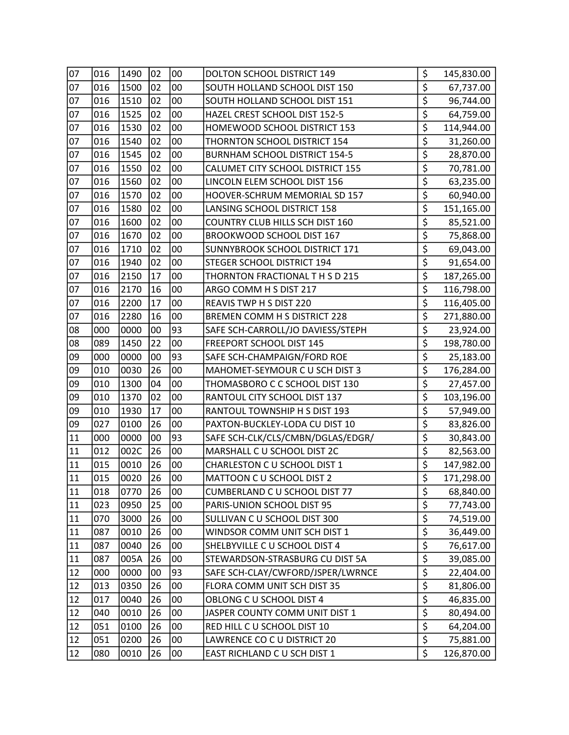| 07 | 016 | 1490 | 02 | 00 | DOLTON SCHOOL DISTRICT 149           | \$                                  | 145,830.00 |
|----|-----|------|----|----|--------------------------------------|-------------------------------------|------------|
| 07 | 016 | 1500 | 02 | 00 | SOUTH HOLLAND SCHOOL DIST 150        | \$                                  | 67,737.00  |
| 07 | 016 | 1510 | 02 | 00 | SOUTH HOLLAND SCHOOL DIST 151        | $\overline{\xi}$                    | 96,744.00  |
| 07 | 016 | 1525 | 02 | 00 | HAZEL CREST SCHOOL DIST 152-5        | \$                                  | 64,759.00  |
| 07 | 016 | 1530 | 02 | 00 | HOMEWOOD SCHOOL DISTRICT 153         | \$                                  | 114,944.00 |
| 07 | 016 | 1540 | 02 | 00 | THORNTON SCHOOL DISTRICT 154         | \$                                  | 31,260.00  |
| 07 | 016 | 1545 | 02 | 00 | <b>BURNHAM SCHOOL DISTRICT 154-5</b> | \$                                  | 28,870.00  |
| 07 | 016 | 1550 | 02 | 00 | CALUMET CITY SCHOOL DISTRICT 155     | \$                                  | 70,781.00  |
| 07 | 016 | 1560 | 02 | 00 | LINCOLN ELEM SCHOOL DIST 156         | \$                                  | 63,235.00  |
| 07 | 016 | 1570 | 02 | 00 | HOOVER-SCHRUM MEMORIAL SD 157        | \$                                  | 60,940.00  |
| 07 | 016 | 1580 | 02 | 00 | LANSING SCHOOL DISTRICT 158          | $\overline{\xi}$                    | 151,165.00 |
| 07 | 016 | 1600 | 02 | 00 | COUNTRY CLUB HILLS SCH DIST 160      | \$                                  | 85,521.00  |
| 07 | 016 | 1670 | 02 | 00 | BROOKWOOD SCHOOL DIST 167            | \$                                  | 75,868.00  |
| 07 | 016 | 1710 | 02 | 00 | SUNNYBROOK SCHOOL DISTRICT 171       | \$                                  | 69,043.00  |
| 07 | 016 | 1940 | 02 | 00 | STEGER SCHOOL DISTRICT 194           | $\overline{\xi}$                    | 91,654.00  |
| 07 | 016 | 2150 | 17 | 00 | THORNTON FRACTIONAL T H S D 215      | \$                                  | 187,265.00 |
| 07 | 016 | 2170 | 16 | 00 | ARGO COMM H S DIST 217               | $\overline{\boldsymbol{\zeta}}$     | 116,798.00 |
| 07 | 016 | 2200 | 17 | 00 | REAVIS TWP H S DIST 220              | \$                                  | 116,405.00 |
| 07 | 016 | 2280 | 16 | 00 | <b>BREMEN COMM H S DISTRICT 228</b>  | $\overline{\boldsymbol{\zeta}}$     | 271,880.00 |
| 08 | 000 | 0000 | 00 | 93 | SAFE SCH-CARROLL/JO DAVIESS/STEPH    | $\overline{\xi}$                    | 23,924.00  |
| 08 | 089 | 1450 | 22 | 00 | FREEPORT SCHOOL DIST 145             | \$                                  | 198,780.00 |
| 09 | 000 | 0000 | 00 | 93 | SAFE SCH-CHAMPAIGN/FORD ROE          | $\overline{\boldsymbol{\xi}}$       | 25,183.00  |
| 09 | 010 | 0030 | 26 | 00 | MAHOMET-SEYMOUR C U SCH DIST 3       | $\overline{\boldsymbol{\varsigma}}$ | 176,284.00 |
| 09 | 010 | 1300 | 04 | 00 | THOMASBORO C C SCHOOL DIST 130       | \$                                  | 27,457.00  |
| 09 | 010 | 1370 | 02 | 00 | RANTOUL CITY SCHOOL DIST 137         | \$                                  | 103,196.00 |
| 09 | 010 | 1930 | 17 | 00 | RANTOUL TOWNSHIP H S DIST 193        | $\overline{\boldsymbol{\zeta}}$     | 57,949.00  |
| 09 | 027 | 0100 | 26 | 00 | PAXTON-BUCKLEY-LODA CU DIST 10       | $\overline{\xi}$                    | 83,826.00  |
| 11 | 000 | 0000 | 00 | 93 | SAFE SCH-CLK/CLS/CMBN/DGLAS/EDGR/    | \$                                  | 30,843.00  |
| 11 | 012 | 002C | 26 | 00 | MARSHALL C U SCHOOL DIST 2C          | $\overline{\boldsymbol{\zeta}}$     | 82,563.00  |
| 11 | 015 | 0010 | 26 | 00 | CHARLESTON C U SCHOOL DIST 1         | $\overline{\xi}$                    | 147,982.00 |
| 11 | 015 | 0020 | 26 | 00 | MATTOON C U SCHOOL DIST 2            | $\overline{\mathsf{S}}$             | 171,298.00 |
| 11 | 018 | 0770 | 26 | 00 | CUMBERLAND C U SCHOOL DIST 77        | \$                                  | 68,840.00  |
| 11 | 023 | 0950 | 25 | 00 | PARIS-UNION SCHOOL DIST 95           | \$                                  | 77,743.00  |
| 11 | 070 | 3000 | 26 | 00 | SULLIVAN C U SCHOOL DIST 300         | $\overline{\xi}$                    | 74,519.00  |
| 11 | 087 | 0010 | 26 | 00 | WINDSOR COMM UNIT SCH DIST 1         | \$                                  | 36,449.00  |
| 11 | 087 | 0040 | 26 | 00 | SHELBYVILLE C U SCHOOL DIST 4        | $\overline{\xi}$                    | 76,617.00  |
| 11 | 087 | 005A | 26 | 00 | STEWARDSON-STRASBURG CU DIST 5A      | $\overline{\boldsymbol{\zeta}}$     | 39,085.00  |
| 12 | 000 | 0000 | 00 | 93 | SAFE SCH-CLAY/CWFORD/JSPER/LWRNCE    | \$                                  | 22,404.00  |
| 12 | 013 | 0350 | 26 | 00 | FLORA COMM UNIT SCH DIST 35          | $\overline{\xi}$                    | 81,806.00  |
| 12 | 017 | 0040 | 26 | 00 | OBLONG C U SCHOOL DIST 4             | \$                                  | 46,835.00  |
| 12 | 040 | 0010 | 26 | 00 | JASPER COUNTY COMM UNIT DIST 1       | $\overline{\xi}$                    | 80,494.00  |
| 12 | 051 | 0100 | 26 | 00 | RED HILL C U SCHOOL DIST 10          | $\overline{\xi}$                    | 64,204.00  |
| 12 | 051 | 0200 | 26 | 00 | LAWRENCE CO C U DISTRICT 20          | $\overline{\boldsymbol{\zeta}}$     | 75,881.00  |
| 12 | 080 | 0010 | 26 | 00 | EAST RICHLAND C U SCH DIST 1         | \$                                  | 126,870.00 |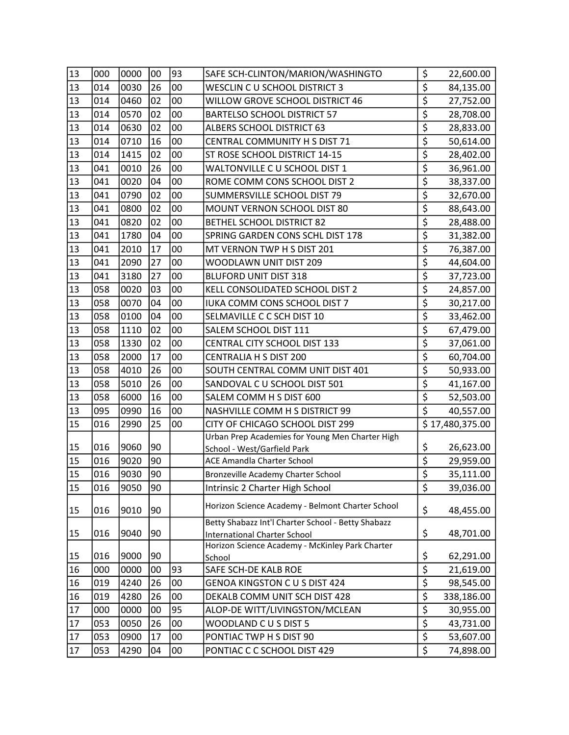| \$<br>00<br>13<br>0030<br>26<br>014<br>WESCLIN C U SCHOOL DISTRICT 3<br>84,135.00<br>$\overline{\xi}$<br>02<br>13<br>0460<br>00<br>WILLOW GROVE SCHOOL DISTRICT 46<br>014<br>27,752.00<br>\$<br>0570<br>13<br>02<br>00<br>014<br><b>BARTELSO SCHOOL DISTRICT 57</b><br>28,708.00<br>\$<br>13<br>0630<br>02<br>00<br>014<br>ALBERS SCHOOL DISTRICT 63<br>28,833.00<br>\$<br>13<br>0710<br>16<br>00<br>014<br>CENTRAL COMMUNITY H S DIST 71<br>50,614.00<br>\$<br>13<br>00<br>1415<br>02<br>014<br>ST ROSE SCHOOL DISTRICT 14-15<br>28,402.00<br>\$<br>13<br>26<br>00<br>041<br>0010<br>WALTONVILLE C U SCHOOL DIST 1<br>36,961.00<br>\$<br>00<br>13<br>0020<br>ROME COMM CONS SCHOOL DIST 2<br>041<br>04<br>38,337.00<br>\$<br>13<br>0790<br>02<br>041<br>00<br>SUMMERSVILLE SCHOOL DIST 79<br>32,670.00<br>\$<br>0800<br>13<br>041<br>02<br>00<br>MOUNT VERNON SCHOOL DIST 80<br>88,643.00<br>\$<br>00<br>13<br>0820<br>02<br>041<br>BETHEL SCHOOL DISTRICT 82<br>28,488.00<br>\$<br>13<br>1780<br>04<br>00<br>041<br>SPRING GARDEN CONS SCHL DIST 178<br>31,382.00<br>\$<br>17<br>00<br>13<br>2010<br>041<br>MT VERNON TWP H S DIST 201<br>76,387.00<br>\$<br>13<br>27<br>041<br>2090<br>00<br>WOODLAWN UNIT DIST 209<br>44,604.00<br>\$<br>3180<br>27<br>13<br>041<br>00<br><b>BLUFORD UNIT DIST 318</b><br>37,723.00<br>$\overline{\xi}$<br>13<br>03<br>00<br>058<br>0020<br>KELL CONSOLIDATED SCHOOL DIST 2<br>24,857.00<br>$\overline{\boldsymbol{\varsigma}}$<br>13<br>0070<br>058<br>04<br>00<br>IUKA COMM CONS SCHOOL DIST 7<br>30,217.00<br>\$<br>00<br>13<br>058<br>0100<br>04<br>SELMAVILLE C C SCH DIST 10<br>33,462.00<br>$\overline{\boldsymbol{\zeta}}$<br>13<br>02<br>00<br>058<br>1110<br>SALEM SCHOOL DIST 111<br>67,479.00<br>\$<br>00<br>13<br>058<br>1330<br>02<br>CENTRAL CITY SCHOOL DIST 133<br>37,061.00<br>$\overline{\boldsymbol{\xi}}$<br>13<br>2000<br>17<br>00<br>CENTRALIA H S DIST 200<br>058<br>60,704.00<br>$\overline{\boldsymbol{\varsigma}}$<br>13<br>26<br>058<br>4010<br>00<br>SOUTH CENTRAL COMM UNIT DIST 401<br>50,933.00<br>\$<br>13<br>26<br>00<br>058<br>5010<br>SANDOVAL C U SCHOOL DIST 501<br>41,167.00<br>\$<br>16<br>00<br>13<br>6000<br>058<br>SALEM COMM H S DIST 600<br>52,503.00<br>$\overline{\boldsymbol{\zeta}}$<br>16<br>00<br>13<br>095<br>0990<br>NASHVILLE COMM H S DISTRICT 99<br>40,557.00<br>15<br>25<br>\$17,480,375.00<br>2990<br>00<br>CITY OF CHICAGO SCHOOL DIST 299<br>016<br>Urban Prep Academies for Young Men Charter High<br>\$<br>15<br>016<br>9060<br>90<br>26,623.00<br>School - West/Garfield Park<br>$\overline{\boldsymbol{\varsigma}}$<br>15<br>9020<br>016<br>90<br>29,959.00<br>ACE Amandla Charter School<br>\$<br>15<br>90<br>016<br>9030<br>35,111.00<br>Bronzeville Academy Charter School<br>Intrinsic 2 Charter High School<br>\$<br>39,036.00<br>15<br>016<br>9050<br>90<br>Horizon Science Academy - Belmont Charter School<br>\$<br>15<br>9010<br>90<br>016<br>48,455.00<br>Betty Shabazz Int'l Charter School - Betty Shabazz |
|----------------------------------------------------------------------------------------------------------------------------------------------------------------------------------------------------------------------------------------------------------------------------------------------------------------------------------------------------------------------------------------------------------------------------------------------------------------------------------------------------------------------------------------------------------------------------------------------------------------------------------------------------------------------------------------------------------------------------------------------------------------------------------------------------------------------------------------------------------------------------------------------------------------------------------------------------------------------------------------------------------------------------------------------------------------------------------------------------------------------------------------------------------------------------------------------------------------------------------------------------------------------------------------------------------------------------------------------------------------------------------------------------------------------------------------------------------------------------------------------------------------------------------------------------------------------------------------------------------------------------------------------------------------------------------------------------------------------------------------------------------------------------------------------------------------------------------------------------------------------------------------------------------------------------------------------------------------------------------------------------------------------------------------------------------------------------------------------------------------------------------------------------------------------------------------------------------------------------------------------------------------------------------------------------------------------------------------------------------------------------------------------------------------------------------------------------------------------------------------------------------------------------------------------------------------------------------------------------------------------------------------------------------------------------------------------------------------------------------------------------------------------------------------------------------------------------------------------------------------------------------------------------------------------------------------------------------------------------------------------------------------------------|
|                                                                                                                                                                                                                                                                                                                                                                                                                                                                                                                                                                                                                                                                                                                                                                                                                                                                                                                                                                                                                                                                                                                                                                                                                                                                                                                                                                                                                                                                                                                                                                                                                                                                                                                                                                                                                                                                                                                                                                                                                                                                                                                                                                                                                                                                                                                                                                                                                                                                                                                                                                                                                                                                                                                                                                                                                                                                                                                                                                                                                            |
|                                                                                                                                                                                                                                                                                                                                                                                                                                                                                                                                                                                                                                                                                                                                                                                                                                                                                                                                                                                                                                                                                                                                                                                                                                                                                                                                                                                                                                                                                                                                                                                                                                                                                                                                                                                                                                                                                                                                                                                                                                                                                                                                                                                                                                                                                                                                                                                                                                                                                                                                                                                                                                                                                                                                                                                                                                                                                                                                                                                                                            |
|                                                                                                                                                                                                                                                                                                                                                                                                                                                                                                                                                                                                                                                                                                                                                                                                                                                                                                                                                                                                                                                                                                                                                                                                                                                                                                                                                                                                                                                                                                                                                                                                                                                                                                                                                                                                                                                                                                                                                                                                                                                                                                                                                                                                                                                                                                                                                                                                                                                                                                                                                                                                                                                                                                                                                                                                                                                                                                                                                                                                                            |
|                                                                                                                                                                                                                                                                                                                                                                                                                                                                                                                                                                                                                                                                                                                                                                                                                                                                                                                                                                                                                                                                                                                                                                                                                                                                                                                                                                                                                                                                                                                                                                                                                                                                                                                                                                                                                                                                                                                                                                                                                                                                                                                                                                                                                                                                                                                                                                                                                                                                                                                                                                                                                                                                                                                                                                                                                                                                                                                                                                                                                            |
|                                                                                                                                                                                                                                                                                                                                                                                                                                                                                                                                                                                                                                                                                                                                                                                                                                                                                                                                                                                                                                                                                                                                                                                                                                                                                                                                                                                                                                                                                                                                                                                                                                                                                                                                                                                                                                                                                                                                                                                                                                                                                                                                                                                                                                                                                                                                                                                                                                                                                                                                                                                                                                                                                                                                                                                                                                                                                                                                                                                                                            |
|                                                                                                                                                                                                                                                                                                                                                                                                                                                                                                                                                                                                                                                                                                                                                                                                                                                                                                                                                                                                                                                                                                                                                                                                                                                                                                                                                                                                                                                                                                                                                                                                                                                                                                                                                                                                                                                                                                                                                                                                                                                                                                                                                                                                                                                                                                                                                                                                                                                                                                                                                                                                                                                                                                                                                                                                                                                                                                                                                                                                                            |
|                                                                                                                                                                                                                                                                                                                                                                                                                                                                                                                                                                                                                                                                                                                                                                                                                                                                                                                                                                                                                                                                                                                                                                                                                                                                                                                                                                                                                                                                                                                                                                                                                                                                                                                                                                                                                                                                                                                                                                                                                                                                                                                                                                                                                                                                                                                                                                                                                                                                                                                                                                                                                                                                                                                                                                                                                                                                                                                                                                                                                            |
|                                                                                                                                                                                                                                                                                                                                                                                                                                                                                                                                                                                                                                                                                                                                                                                                                                                                                                                                                                                                                                                                                                                                                                                                                                                                                                                                                                                                                                                                                                                                                                                                                                                                                                                                                                                                                                                                                                                                                                                                                                                                                                                                                                                                                                                                                                                                                                                                                                                                                                                                                                                                                                                                                                                                                                                                                                                                                                                                                                                                                            |
|                                                                                                                                                                                                                                                                                                                                                                                                                                                                                                                                                                                                                                                                                                                                                                                                                                                                                                                                                                                                                                                                                                                                                                                                                                                                                                                                                                                                                                                                                                                                                                                                                                                                                                                                                                                                                                                                                                                                                                                                                                                                                                                                                                                                                                                                                                                                                                                                                                                                                                                                                                                                                                                                                                                                                                                                                                                                                                                                                                                                                            |
|                                                                                                                                                                                                                                                                                                                                                                                                                                                                                                                                                                                                                                                                                                                                                                                                                                                                                                                                                                                                                                                                                                                                                                                                                                                                                                                                                                                                                                                                                                                                                                                                                                                                                                                                                                                                                                                                                                                                                                                                                                                                                                                                                                                                                                                                                                                                                                                                                                                                                                                                                                                                                                                                                                                                                                                                                                                                                                                                                                                                                            |
|                                                                                                                                                                                                                                                                                                                                                                                                                                                                                                                                                                                                                                                                                                                                                                                                                                                                                                                                                                                                                                                                                                                                                                                                                                                                                                                                                                                                                                                                                                                                                                                                                                                                                                                                                                                                                                                                                                                                                                                                                                                                                                                                                                                                                                                                                                                                                                                                                                                                                                                                                                                                                                                                                                                                                                                                                                                                                                                                                                                                                            |
|                                                                                                                                                                                                                                                                                                                                                                                                                                                                                                                                                                                                                                                                                                                                                                                                                                                                                                                                                                                                                                                                                                                                                                                                                                                                                                                                                                                                                                                                                                                                                                                                                                                                                                                                                                                                                                                                                                                                                                                                                                                                                                                                                                                                                                                                                                                                                                                                                                                                                                                                                                                                                                                                                                                                                                                                                                                                                                                                                                                                                            |
|                                                                                                                                                                                                                                                                                                                                                                                                                                                                                                                                                                                                                                                                                                                                                                                                                                                                                                                                                                                                                                                                                                                                                                                                                                                                                                                                                                                                                                                                                                                                                                                                                                                                                                                                                                                                                                                                                                                                                                                                                                                                                                                                                                                                                                                                                                                                                                                                                                                                                                                                                                                                                                                                                                                                                                                                                                                                                                                                                                                                                            |
|                                                                                                                                                                                                                                                                                                                                                                                                                                                                                                                                                                                                                                                                                                                                                                                                                                                                                                                                                                                                                                                                                                                                                                                                                                                                                                                                                                                                                                                                                                                                                                                                                                                                                                                                                                                                                                                                                                                                                                                                                                                                                                                                                                                                                                                                                                                                                                                                                                                                                                                                                                                                                                                                                                                                                                                                                                                                                                                                                                                                                            |
|                                                                                                                                                                                                                                                                                                                                                                                                                                                                                                                                                                                                                                                                                                                                                                                                                                                                                                                                                                                                                                                                                                                                                                                                                                                                                                                                                                                                                                                                                                                                                                                                                                                                                                                                                                                                                                                                                                                                                                                                                                                                                                                                                                                                                                                                                                                                                                                                                                                                                                                                                                                                                                                                                                                                                                                                                                                                                                                                                                                                                            |
|                                                                                                                                                                                                                                                                                                                                                                                                                                                                                                                                                                                                                                                                                                                                                                                                                                                                                                                                                                                                                                                                                                                                                                                                                                                                                                                                                                                                                                                                                                                                                                                                                                                                                                                                                                                                                                                                                                                                                                                                                                                                                                                                                                                                                                                                                                                                                                                                                                                                                                                                                                                                                                                                                                                                                                                                                                                                                                                                                                                                                            |
|                                                                                                                                                                                                                                                                                                                                                                                                                                                                                                                                                                                                                                                                                                                                                                                                                                                                                                                                                                                                                                                                                                                                                                                                                                                                                                                                                                                                                                                                                                                                                                                                                                                                                                                                                                                                                                                                                                                                                                                                                                                                                                                                                                                                                                                                                                                                                                                                                                                                                                                                                                                                                                                                                                                                                                                                                                                                                                                                                                                                                            |
|                                                                                                                                                                                                                                                                                                                                                                                                                                                                                                                                                                                                                                                                                                                                                                                                                                                                                                                                                                                                                                                                                                                                                                                                                                                                                                                                                                                                                                                                                                                                                                                                                                                                                                                                                                                                                                                                                                                                                                                                                                                                                                                                                                                                                                                                                                                                                                                                                                                                                                                                                                                                                                                                                                                                                                                                                                                                                                                                                                                                                            |
|                                                                                                                                                                                                                                                                                                                                                                                                                                                                                                                                                                                                                                                                                                                                                                                                                                                                                                                                                                                                                                                                                                                                                                                                                                                                                                                                                                                                                                                                                                                                                                                                                                                                                                                                                                                                                                                                                                                                                                                                                                                                                                                                                                                                                                                                                                                                                                                                                                                                                                                                                                                                                                                                                                                                                                                                                                                                                                                                                                                                                            |
|                                                                                                                                                                                                                                                                                                                                                                                                                                                                                                                                                                                                                                                                                                                                                                                                                                                                                                                                                                                                                                                                                                                                                                                                                                                                                                                                                                                                                                                                                                                                                                                                                                                                                                                                                                                                                                                                                                                                                                                                                                                                                                                                                                                                                                                                                                                                                                                                                                                                                                                                                                                                                                                                                                                                                                                                                                                                                                                                                                                                                            |
|                                                                                                                                                                                                                                                                                                                                                                                                                                                                                                                                                                                                                                                                                                                                                                                                                                                                                                                                                                                                                                                                                                                                                                                                                                                                                                                                                                                                                                                                                                                                                                                                                                                                                                                                                                                                                                                                                                                                                                                                                                                                                                                                                                                                                                                                                                                                                                                                                                                                                                                                                                                                                                                                                                                                                                                                                                                                                                                                                                                                                            |
|                                                                                                                                                                                                                                                                                                                                                                                                                                                                                                                                                                                                                                                                                                                                                                                                                                                                                                                                                                                                                                                                                                                                                                                                                                                                                                                                                                                                                                                                                                                                                                                                                                                                                                                                                                                                                                                                                                                                                                                                                                                                                                                                                                                                                                                                                                                                                                                                                                                                                                                                                                                                                                                                                                                                                                                                                                                                                                                                                                                                                            |
|                                                                                                                                                                                                                                                                                                                                                                                                                                                                                                                                                                                                                                                                                                                                                                                                                                                                                                                                                                                                                                                                                                                                                                                                                                                                                                                                                                                                                                                                                                                                                                                                                                                                                                                                                                                                                                                                                                                                                                                                                                                                                                                                                                                                                                                                                                                                                                                                                                                                                                                                                                                                                                                                                                                                                                                                                                                                                                                                                                                                                            |
|                                                                                                                                                                                                                                                                                                                                                                                                                                                                                                                                                                                                                                                                                                                                                                                                                                                                                                                                                                                                                                                                                                                                                                                                                                                                                                                                                                                                                                                                                                                                                                                                                                                                                                                                                                                                                                                                                                                                                                                                                                                                                                                                                                                                                                                                                                                                                                                                                                                                                                                                                                                                                                                                                                                                                                                                                                                                                                                                                                                                                            |
|                                                                                                                                                                                                                                                                                                                                                                                                                                                                                                                                                                                                                                                                                                                                                                                                                                                                                                                                                                                                                                                                                                                                                                                                                                                                                                                                                                                                                                                                                                                                                                                                                                                                                                                                                                                                                                                                                                                                                                                                                                                                                                                                                                                                                                                                                                                                                                                                                                                                                                                                                                                                                                                                                                                                                                                                                                                                                                                                                                                                                            |
|                                                                                                                                                                                                                                                                                                                                                                                                                                                                                                                                                                                                                                                                                                                                                                                                                                                                                                                                                                                                                                                                                                                                                                                                                                                                                                                                                                                                                                                                                                                                                                                                                                                                                                                                                                                                                                                                                                                                                                                                                                                                                                                                                                                                                                                                                                                                                                                                                                                                                                                                                                                                                                                                                                                                                                                                                                                                                                                                                                                                                            |
|                                                                                                                                                                                                                                                                                                                                                                                                                                                                                                                                                                                                                                                                                                                                                                                                                                                                                                                                                                                                                                                                                                                                                                                                                                                                                                                                                                                                                                                                                                                                                                                                                                                                                                                                                                                                                                                                                                                                                                                                                                                                                                                                                                                                                                                                                                                                                                                                                                                                                                                                                                                                                                                                                                                                                                                                                                                                                                                                                                                                                            |
|                                                                                                                                                                                                                                                                                                                                                                                                                                                                                                                                                                                                                                                                                                                                                                                                                                                                                                                                                                                                                                                                                                                                                                                                                                                                                                                                                                                                                                                                                                                                                                                                                                                                                                                                                                                                                                                                                                                                                                                                                                                                                                                                                                                                                                                                                                                                                                                                                                                                                                                                                                                                                                                                                                                                                                                                                                                                                                                                                                                                                            |
|                                                                                                                                                                                                                                                                                                                                                                                                                                                                                                                                                                                                                                                                                                                                                                                                                                                                                                                                                                                                                                                                                                                                                                                                                                                                                                                                                                                                                                                                                                                                                                                                                                                                                                                                                                                                                                                                                                                                                                                                                                                                                                                                                                                                                                                                                                                                                                                                                                                                                                                                                                                                                                                                                                                                                                                                                                                                                                                                                                                                                            |
|                                                                                                                                                                                                                                                                                                                                                                                                                                                                                                                                                                                                                                                                                                                                                                                                                                                                                                                                                                                                                                                                                                                                                                                                                                                                                                                                                                                                                                                                                                                                                                                                                                                                                                                                                                                                                                                                                                                                                                                                                                                                                                                                                                                                                                                                                                                                                                                                                                                                                                                                                                                                                                                                                                                                                                                                                                                                                                                                                                                                                            |
|                                                                                                                                                                                                                                                                                                                                                                                                                                                                                                                                                                                                                                                                                                                                                                                                                                                                                                                                                                                                                                                                                                                                                                                                                                                                                                                                                                                                                                                                                                                                                                                                                                                                                                                                                                                                                                                                                                                                                                                                                                                                                                                                                                                                                                                                                                                                                                                                                                                                                                                                                                                                                                                                                                                                                                                                                                                                                                                                                                                                                            |
|                                                                                                                                                                                                                                                                                                                                                                                                                                                                                                                                                                                                                                                                                                                                                                                                                                                                                                                                                                                                                                                                                                                                                                                                                                                                                                                                                                                                                                                                                                                                                                                                                                                                                                                                                                                                                                                                                                                                                                                                                                                                                                                                                                                                                                                                                                                                                                                                                                                                                                                                                                                                                                                                                                                                                                                                                                                                                                                                                                                                                            |
|                                                                                                                                                                                                                                                                                                                                                                                                                                                                                                                                                                                                                                                                                                                                                                                                                                                                                                                                                                                                                                                                                                                                                                                                                                                                                                                                                                                                                                                                                                                                                                                                                                                                                                                                                                                                                                                                                                                                                                                                                                                                                                                                                                                                                                                                                                                                                                                                                                                                                                                                                                                                                                                                                                                                                                                                                                                                                                                                                                                                                            |
| \$<br>15<br>9040<br>90<br>016<br>48,701.00<br><b>International Charter School</b><br>Horizon Science Academy - McKinley Park Charter                                                                                                                                                                                                                                                                                                                                                                                                                                                                                                                                                                                                                                                                                                                                                                                                                                                                                                                                                                                                                                                                                                                                                                                                                                                                                                                                                                                                                                                                                                                                                                                                                                                                                                                                                                                                                                                                                                                                                                                                                                                                                                                                                                                                                                                                                                                                                                                                                                                                                                                                                                                                                                                                                                                                                                                                                                                                                       |
| \$<br>9000<br>90<br>15<br>016<br>62,291.00<br>School                                                                                                                                                                                                                                                                                                                                                                                                                                                                                                                                                                                                                                                                                                                                                                                                                                                                                                                                                                                                                                                                                                                                                                                                                                                                                                                                                                                                                                                                                                                                                                                                                                                                                                                                                                                                                                                                                                                                                                                                                                                                                                                                                                                                                                                                                                                                                                                                                                                                                                                                                                                                                                                                                                                                                                                                                                                                                                                                                                       |
| $\overline{\boldsymbol{\zeta}}$<br>16<br>93<br>SAFE SCH-DE KALB ROE<br>000<br>0000<br>00<br>21,619.00                                                                                                                                                                                                                                                                                                                                                                                                                                                                                                                                                                                                                                                                                                                                                                                                                                                                                                                                                                                                                                                                                                                                                                                                                                                                                                                                                                                                                                                                                                                                                                                                                                                                                                                                                                                                                                                                                                                                                                                                                                                                                                                                                                                                                                                                                                                                                                                                                                                                                                                                                                                                                                                                                                                                                                                                                                                                                                                      |
| \$<br>16<br>26<br>00<br>019<br>4240<br>GENOA KINGSTON C U S DIST 424<br>98,545.00                                                                                                                                                                                                                                                                                                                                                                                                                                                                                                                                                                                                                                                                                                                                                                                                                                                                                                                                                                                                                                                                                                                                                                                                                                                                                                                                                                                                                                                                                                                                                                                                                                                                                                                                                                                                                                                                                                                                                                                                                                                                                                                                                                                                                                                                                                                                                                                                                                                                                                                                                                                                                                                                                                                                                                                                                                                                                                                                          |
| $\overline{\xi}$<br>16<br>019<br>4280<br>26<br>00<br>DEKALB COMM UNIT SCH DIST 428<br>338,186.00                                                                                                                                                                                                                                                                                                                                                                                                                                                                                                                                                                                                                                                                                                                                                                                                                                                                                                                                                                                                                                                                                                                                                                                                                                                                                                                                                                                                                                                                                                                                                                                                                                                                                                                                                                                                                                                                                                                                                                                                                                                                                                                                                                                                                                                                                                                                                                                                                                                                                                                                                                                                                                                                                                                                                                                                                                                                                                                           |
| \$<br>17<br>0000<br>95<br>ALOP-DE WITT/LIVINGSTON/MCLEAN<br>000<br>00<br>30,955.00                                                                                                                                                                                                                                                                                                                                                                                                                                                                                                                                                                                                                                                                                                                                                                                                                                                                                                                                                                                                                                                                                                                                                                                                                                                                                                                                                                                                                                                                                                                                                                                                                                                                                                                                                                                                                                                                                                                                                                                                                                                                                                                                                                                                                                                                                                                                                                                                                                                                                                                                                                                                                                                                                                                                                                                                                                                                                                                                         |
| $\overline{\boldsymbol{\varsigma}}$<br>17<br>053<br>0050<br>26<br>00<br>WOODLAND CUS DIST 5<br>43,731.00                                                                                                                                                                                                                                                                                                                                                                                                                                                                                                                                                                                                                                                                                                                                                                                                                                                                                                                                                                                                                                                                                                                                                                                                                                                                                                                                                                                                                                                                                                                                                                                                                                                                                                                                                                                                                                                                                                                                                                                                                                                                                                                                                                                                                                                                                                                                                                                                                                                                                                                                                                                                                                                                                                                                                                                                                                                                                                                   |
| \$<br> 17<br>0900<br>17<br>053<br>00<br>PONTIAC TWP H S DIST 90<br>53,607.00                                                                                                                                                                                                                                                                                                                                                                                                                                                                                                                                                                                                                                                                                                                                                                                                                                                                                                                                                                                                                                                                                                                                                                                                                                                                                                                                                                                                                                                                                                                                                                                                                                                                                                                                                                                                                                                                                                                                                                                                                                                                                                                                                                                                                                                                                                                                                                                                                                                                                                                                                                                                                                                                                                                                                                                                                                                                                                                                               |
| \$<br>17<br>053<br>4290<br>00<br>PONTIAC C C SCHOOL DIST 429<br>04<br>74,898.00                                                                                                                                                                                                                                                                                                                                                                                                                                                                                                                                                                                                                                                                                                                                                                                                                                                                                                                                                                                                                                                                                                                                                                                                                                                                                                                                                                                                                                                                                                                                                                                                                                                                                                                                                                                                                                                                                                                                                                                                                                                                                                                                                                                                                                                                                                                                                                                                                                                                                                                                                                                                                                                                                                                                                                                                                                                                                                                                            |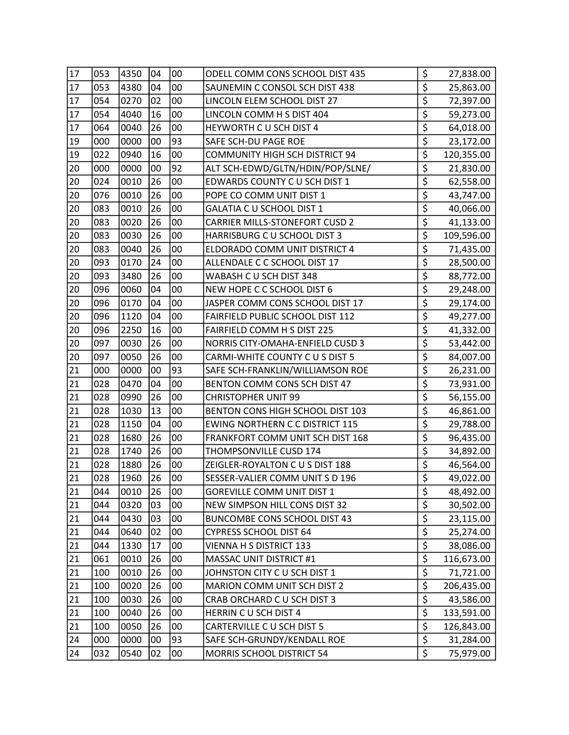| 17 | 053 | 4350 | 04 | 00 | ODELL COMM CONS SCHOOL DIST 435        | \$                                  | 27,838.00  |
|----|-----|------|----|----|----------------------------------------|-------------------------------------|------------|
| 17 | 053 | 4380 | 04 | 00 | SAUNEMIN C CONSOL SCH DIST 438         | \$                                  | 25,863.00  |
| 17 | 054 | 0270 | 02 | 00 | LINCOLN ELEM SCHOOL DIST 27            | \$                                  | 72,397.00  |
| 17 | 054 | 4040 | 16 | 00 | LINCOLN COMM H S DIST 404              | \$                                  | 59,273.00  |
| 17 | 064 | 0040 | 26 | 00 | HEYWORTH C U SCH DIST 4                | \$                                  | 64,018.00  |
| 19 | 000 | 0000 | 00 | 93 | SAFE SCH-DU PAGE ROE                   | \$                                  | 23,172.00  |
| 19 | 022 | 0940 | 16 | 00 | <b>COMMUNITY HIGH SCH DISTRICT 94</b>  | $\overline{\xi}$                    | 120,355.00 |
| 20 | 000 | 0000 | 00 | 92 | ALT SCH-EDWD/GLTN/HDIN/POP/SLNE/       | \$                                  | 21,830.00  |
| 20 | 024 | 0010 | 26 | 00 | EDWARDS COUNTY C U SCH DIST 1          | \$                                  | 62,558.00  |
| 20 | 076 | 0010 | 26 | 00 | POPE CO COMM UNIT DIST 1               | \$                                  | 43,747.00  |
| 20 | 083 | 0010 | 26 | 00 | GALATIA C U SCHOOL DIST 1              | $\overline{\boldsymbol{\varsigma}}$ | 40,066.00  |
| 20 | 083 | 0020 | 26 | 00 | <b>CARRIER MILLS-STONEFORT CUSD 2</b>  | \$                                  | 41,133.00  |
| 20 | 083 | 0030 | 26 | 00 | HARRISBURG C U SCHOOL DIST 3           | $\overline{\xi}$                    | 109,596.00 |
| 20 | 083 | 0040 | 26 | 00 | ELDORADO COMM UNIT DISTRICT 4          | \$                                  | 71,435.00  |
| 20 | 093 | 0170 | 24 | 00 | ALLENDALE C C SCHOOL DIST 17           | \$                                  | 28,500.00  |
| 20 | 093 | 3480 | 26 | 00 | WABASH C U SCH DIST 348                | $\overline{\xi}$                    | 88,772.00  |
| 20 | 096 | 0060 | 04 | 00 | NEW HOPE C C SCHOOL DIST 6             | \$                                  | 29,248.00  |
| 20 | 096 | 0170 | 04 | 00 | JASPER COMM CONS SCHOOL DIST 17        | \$                                  | 29,174.00  |
| 20 | 096 | 1120 | 04 | 00 | FAIRFIELD PUBLIC SCHOOL DIST 112       | $\overline{\boldsymbol{\zeta}}$     | 49,277.00  |
| 20 | 096 | 2250 | 16 | 00 | FAIRFIELD COMM H S DIST 225            | $\overline{\xi}$                    | 41,332.00  |
| 20 | 097 | 0030 | 26 | 00 | NORRIS CITY-OMAHA-ENFIELD CUSD 3       | \$                                  | 53,442.00  |
| 20 | 097 | 0050 | 26 | 00 | CARMI-WHITE COUNTY C U S DIST 5        | $\overline{\boldsymbol{\zeta}}$     | 84,007.00  |
| 21 | 000 | 0000 | 00 | 93 | SAFE SCH-FRANKLIN/WILLIAMSON ROE       | \$                                  | 26,231.00  |
| 21 | 028 | 0470 | 04 | 00 | BENTON COMM CONS SCH DIST 47           | \$                                  | 73,931.00  |
| 21 | 028 | 0990 | 26 | 00 | <b>CHRISTOPHER UNIT 99</b>             | $\overline{\xi}$                    | 56,155.00  |
| 21 | 028 | 1030 | 13 | 00 | BENTON CONS HIGH SCHOOL DIST 103       | $\overline{\boldsymbol{\zeta}}$     | 46,861.00  |
| 21 | 028 | 1150 | 04 | 00 | <b>EWING NORTHERN C C DISTRICT 115</b> | $\overline{\boldsymbol{\varsigma}}$ | 29,788.00  |
| 21 | 028 | 1680 | 26 | 00 | FRANKFORT COMM UNIT SCH DIST 168       | \$                                  | 96,435.00  |
| 21 | 028 | 1740 | 26 | 00 | THOMPSONVILLE CUSD 174                 | $\overline{\boldsymbol{\zeta}}$     | 34,892.00  |
| 21 | 028 | 1880 | 26 | 00 | ZEIGLER-ROYALTON C U S DIST 188        | $\overline{\xi}$                    | 46,564.00  |
| 21 | 028 | 1960 | 26 | 00 | SESSER-VALIER COMM UNIT S D 196        | \$                                  | 49,022.00  |
| 21 | 044 | 0010 | 26 | 00 | <b>GOREVILLE COMM UNIT DIST 1</b>      | \$                                  | 48,492.00  |
| 21 | 044 | 0320 | 03 | 00 | NEW SIMPSON HILL CONS DIST 32          | \$                                  | 30,502.00  |
| 21 | 044 | 0430 | 03 | 00 | BUNCOMBE CONS SCHOOL DIST 43           | $\overline{\xi}$                    | 23,115.00  |
| 21 | 044 | 0640 | 02 | 00 | <b>CYPRESS SCHOOL DIST 64</b>          | \$                                  | 25,274.00  |
| 21 | 044 | 1330 | 17 | 00 | VIENNA H S DISTRICT 133                | $\overline{\xi}$                    | 38,086.00  |
| 21 | 061 | 0010 | 26 | 00 | MASSAC UNIT DISTRICT #1                | \$                                  | 116,673.00 |
| 21 | 100 | 0010 | 26 | 00 | JOHNSTON CITY C U SCH DIST 1           | \$                                  | 71,721.00  |
| 21 | 100 | 0020 | 26 | 00 | MARION COMM UNIT SCH DIST 2            | \$                                  | 206,435.00 |
| 21 | 100 | 0030 | 26 | 00 | CRAB ORCHARD C U SCH DIST 3            | \$                                  | 43,586.00  |
| 21 | 100 | 0040 | 26 | 00 | HERRIN CU SCH DIST 4                   | $\overline{\xi}$                    | 133,591.00 |
| 21 | 100 | 0050 | 26 | 00 | CARTERVILLE C U SCH DIST 5             | $\overline{\boldsymbol{\zeta}}$     | 126,843.00 |
| 24 | 000 | 0000 | 00 | 93 | SAFE SCH-GRUNDY/KENDALL ROE            | \$                                  | 31,284.00  |
| 24 | 032 | 0540 | 02 | 00 | MORRIS SCHOOL DISTRICT 54              | $\overline{\boldsymbol{\zeta}}$     | 75,979.00  |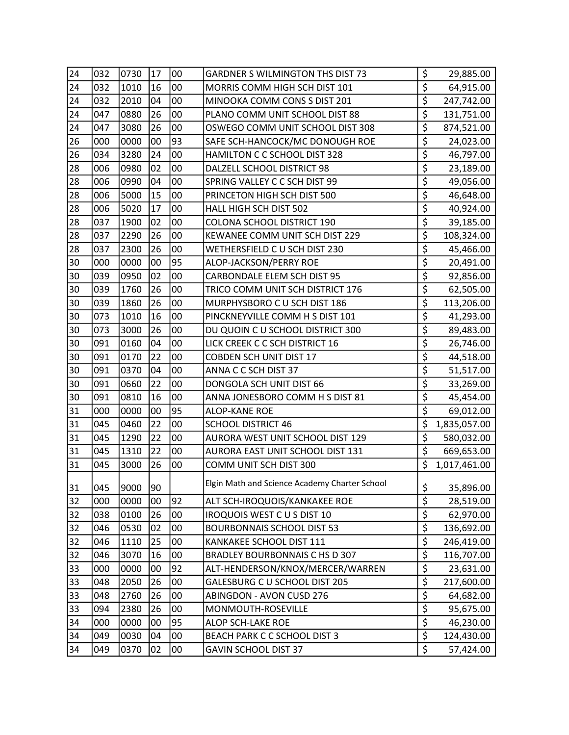| 24 | 032 | 0730 | 17 | 00 | <b>GARDNER S WILMINGTON THS DIST 73</b>       | \$                                  | 29,885.00    |
|----|-----|------|----|----|-----------------------------------------------|-------------------------------------|--------------|
| 24 | 032 | 1010 | 16 | 00 | MORRIS COMM HIGH SCH DIST 101                 | \$                                  | 64,915.00    |
| 24 | 032 | 2010 | 04 | 00 | MINOOKA COMM CONS S DIST 201                  | \$                                  | 247,742.00   |
| 24 | 047 | 0880 | 26 | 00 | PLANO COMM UNIT SCHOOL DIST 88                | \$                                  | 131,751.00   |
| 24 | 047 | 3080 | 26 | 00 | OSWEGO COMM UNIT SCHOOL DIST 308              | $\overline{\boldsymbol{\varsigma}}$ | 874,521.00   |
| 26 | 000 | 0000 | 00 | 93 | SAFE SCH-HANCOCK/MC DONOUGH ROE               | \$                                  | 24,023.00    |
| 26 | 034 | 3280 | 24 | 00 | HAMILTON C C SCHOOL DIST 328                  | \$                                  | 46,797.00    |
| 28 | 006 | 0980 | 02 | 00 | DALZELL SCHOOL DISTRICT 98                    | $\overline{\boldsymbol{\varsigma}}$ | 23,189.00    |
| 28 | 006 | 0990 | 04 | 00 | SPRING VALLEY C C SCH DIST 99                 | \$                                  | 49,056.00    |
| 28 | 006 | 5000 | 15 | 00 | PRINCETON HIGH SCH DIST 500                   | $\overline{\xi}$                    | 46,648.00    |
| 28 | 006 | 5020 | 17 | 00 | HALL HIGH SCH DIST 502                        | \$                                  | 40,924.00    |
| 28 | 037 | 1900 | 02 | 00 | COLONA SCHOOL DISTRICT 190                    | \$                                  | 39,185.00    |
| 28 | 037 | 2290 | 26 | 00 | KEWANEE COMM UNIT SCH DIST 229                | \$                                  | 108,324.00   |
| 28 | 037 | 2300 | 26 | 00 | WETHERSFIELD C U SCH DIST 230                 | \$                                  | 45,466.00    |
| 30 | 000 | 0000 | 00 | 95 | ALOP-JACKSON/PERRY ROE                        | \$                                  | 20,491.00    |
| 30 | 039 | 0950 | 02 | 00 | <b>CARBONDALE ELEM SCH DIST 95</b>            | \$                                  | 92,856.00    |
| 30 | 039 | 1760 | 26 | 00 | TRICO COMM UNIT SCH DISTRICT 176              | $\overline{\xi}$                    | 62,505.00    |
| 30 | 039 | 1860 | 26 | 00 | MURPHYSBORO C U SCH DIST 186                  | $\overline{\xi}$                    | 113,206.00   |
| 30 | 073 | 1010 | 16 | 00 | PINCKNEYVILLE COMM H S DIST 101               | \$                                  | 41,293.00    |
| 30 | 073 | 3000 | 26 | 00 | DU QUOIN C U SCHOOL DISTRICT 300              | \$                                  | 89,483.00    |
| 30 | 091 | 0160 | 04 | 00 | LICK CREEK C C SCH DISTRICT 16                | \$                                  | 26,746.00    |
| 30 | 091 | 0170 | 22 | 00 | <b>COBDEN SCH UNIT DIST 17</b>                | $\overline{\varsigma}$              | 44,518.00    |
| 30 | 091 | 0370 | 04 | 00 | ANNA C C SCH DIST 37                          | $\overline{\boldsymbol{\zeta}}$     | 51,517.00    |
| 30 | 091 | 0660 | 22 | 00 | DONGOLA SCH UNIT DIST 66                      | $\overline{\xi}$                    | 33,269.00    |
| 30 | 091 | 0810 | 16 | 00 | ANNA JONESBORO COMM H S DIST 81               | \$                                  | 45,454.00    |
| 31 | 000 | 0000 | 00 | 95 | ALOP-KANE ROE                                 | $\overline{\boldsymbol{\zeta}}$     | 69,012.00    |
| 31 | 045 | 0460 | 22 | 00 | <b>SCHOOL DISTRICT 46</b>                     | \$                                  | 1,835,057.00 |
| 31 | 045 | 1290 | 22 | 00 | AURORA WEST UNIT SCHOOL DIST 129              | $\overline{\boldsymbol{\zeta}}$     | 580,032.00   |
| 31 | 045 | 1310 | 22 | 00 | AURORA EAST UNIT SCHOOL DIST 131              | $\overline{\xi}$                    | 669,653.00   |
| 31 | 045 | 3000 | 26 | 00 | COMM UNIT SCH DIST 300                        | \$                                  | 1,017,461.00 |
| 31 | 045 | 9000 | 90 |    | Elgin Math and Science Academy Charter School | \$                                  | 35,896.00    |
| 32 | 000 | 0000 | 00 | 92 | ALT SCH-IROQUOIS/KANKAKEE ROE                 | $\overline{\xi}$                    | 28,519.00    |
| 32 | 038 | 0100 | 26 | 00 | <b>IROQUOIS WEST CUS DIST 10</b>              | $\overline{\boldsymbol{\zeta}}$     | 62,970.00    |
| 32 | 046 | 0530 | 02 | 00 | <b>BOURBONNAIS SCHOOL DIST 53</b>             | \$                                  | 136,692.00   |
| 32 | 046 | 1110 | 25 | 00 | KANKAKEE SCHOOL DIST 111                      | \$                                  | 246,419.00   |
| 32 | 046 | 3070 | 16 | 00 | BRADLEY BOURBONNAIS C HS D 307                | $\overline{\boldsymbol{\zeta}}$     | 116,707.00   |
| 33 | 000 | 0000 | 00 | 92 | ALT-HENDERSON/KNOX/MERCER/WARREN              | \$                                  | 23,631.00    |
| 33 | 048 | 2050 | 26 | 00 | GALESBURG C U SCHOOL DIST 205                 | \$                                  | 217,600.00   |
| 33 | 048 | 2760 | 26 | 00 | <b>ABINGDON - AVON CUSD 276</b>               | $\overline{\boldsymbol{\zeta}}$     | 64,682.00    |
| 33 | 094 | 2380 | 26 | 00 | MONMOUTH-ROSEVILLE                            | $\overline{\boldsymbol{\varsigma}}$ | 95,675.00    |
| 34 | 000 | 0000 | 00 | 95 | ALOP SCH-LAKE ROE                             | \$                                  | 46,230.00    |
| 34 | 049 | 0030 | 04 | 00 | BEACH PARK C C SCHOOL DIST 3                  | $\overline{\xi}$                    | 124,430.00   |
| 34 | 049 | 0370 | 02 | 00 | <b>GAVIN SCHOOL DIST 37</b>                   | $\overline{\boldsymbol{\zeta}}$     | 57,424.00    |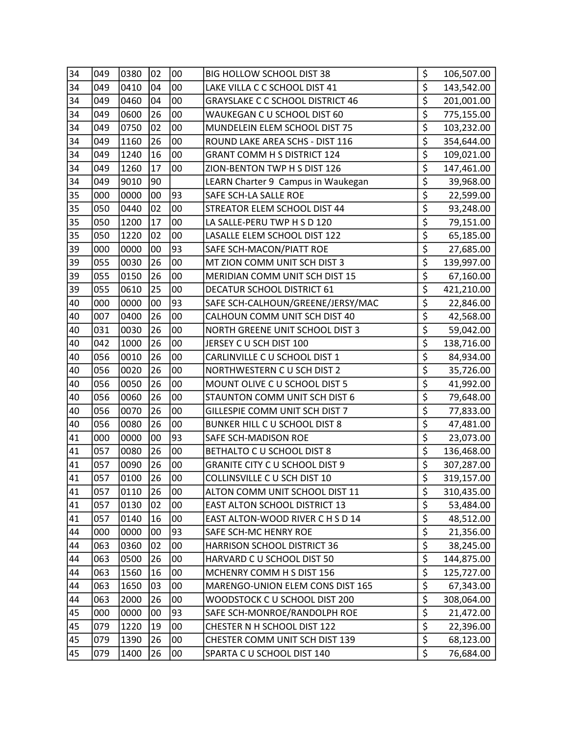| 34 | 049 | 0380 | 02 | 00 | BIG HOLLOW SCHOOL DIST 38               | \$                                  | 106,507.00 |
|----|-----|------|----|----|-----------------------------------------|-------------------------------------|------------|
| 34 | 049 | 0410 | 04 | 00 | LAKE VILLA C C SCHOOL DIST 41           | \$                                  | 143,542.00 |
| 34 | 049 | 0460 | 04 | 00 | <b>GRAYSLAKE C C SCHOOL DISTRICT 46</b> | \$                                  | 201,001.00 |
| 34 | 049 | 0600 | 26 | 00 | WAUKEGAN C U SCHOOL DIST 60             | \$                                  | 775,155.00 |
| 34 | 049 | 0750 | 02 | 00 | MUNDELEIN ELEM SCHOOL DIST 75           | \$                                  | 103,232.00 |
| 34 | 049 | 1160 | 26 | 00 | ROUND LAKE AREA SCHS - DIST 116         | $\overline{\xi}$                    | 354,644.00 |
| 34 | 049 | 1240 | 16 | 00 | <b>GRANT COMM H S DISTRICT 124</b>      | \$                                  | 109,021.00 |
| 34 | 049 | 1260 | 17 | 00 | ZION-BENTON TWP H S DIST 126            | \$                                  | 147,461.00 |
| 34 | 049 | 9010 | 90 |    | LEARN Charter 9 Campus in Waukegan      | \$                                  | 39,968.00  |
| 35 | 000 | 0000 | 00 | 93 | SAFE SCH-LA SALLE ROE                   | \$                                  | 22,599.00  |
| 35 | 050 | 0440 | 02 | 00 | STREATOR ELEM SCHOOL DIST 44            | $\overline{\xi}$                    | 93,248.00  |
| 35 | 050 | 1200 | 17 | 00 | LA SALLE-PERU TWP H S D 120             | \$                                  | 79,151.00  |
| 35 | 050 | 1220 | 02 | 00 | LASALLE ELEM SCHOOL DIST 122            | \$                                  | 65,185.00  |
| 39 | 000 | 0000 | 00 | 93 | SAFE SCH-MACON/PIATT ROE                | $\overline{\xi}$                    | 27,685.00  |
| 39 | 055 | 0030 | 26 | 00 | MT ZION COMM UNIT SCH DIST 3            | $\overline{\xi}$                    | 139,997.00 |
| 39 | 055 | 0150 | 26 | 00 | MERIDIAN COMM UNIT SCH DIST 15          | \$                                  | 67,160.00  |
| 39 | 055 | 0610 | 25 | 00 | DECATUR SCHOOL DISTRICT 61              | $\overline{\boldsymbol{\zeta}}$     | 421,210.00 |
| 40 | 000 | 0000 | 00 | 93 | SAFE SCH-CALHOUN/GREENE/JERSY/MAC       | \$                                  | 22,846.00  |
| 40 | 007 | 0400 | 26 | 00 | CALHOUN COMM UNIT SCH DIST 40           | $\overline{\boldsymbol{\zeta}}$     | 42,568.00  |
| 40 | 031 | 0030 | 26 | 00 | NORTH GREENE UNIT SCHOOL DIST 3         | $\overline{\xi}$                    | 59,042.00  |
| 40 | 042 | 1000 | 26 | 00 | JERSEY C U SCH DIST 100                 | \$                                  | 138,716.00 |
| 40 | 056 | 0010 | 26 | 00 | CARLINVILLE C U SCHOOL DIST 1           | $\overline{\boldsymbol{\xi}}$       | 84,934.00  |
| 40 | 056 | 0020 | 26 | 00 | NORTHWESTERN C U SCH DIST 2             | $\overline{\boldsymbol{\varsigma}}$ | 35,726.00  |
| 40 | 056 | 0050 | 26 | 00 | MOUNT OLIVE C U SCHOOL DIST 5           | \$                                  | 41,992.00  |
| 40 | 056 | 0060 | 26 | 00 | STAUNTON COMM UNIT SCH DIST 6           | \$                                  | 79,648.00  |
| 40 | 056 | 0070 | 26 | 00 | GILLESPIE COMM UNIT SCH DIST 7          | $\overline{\boldsymbol{\zeta}}$     | 77,833.00  |
| 40 | 056 | 0080 | 26 | 00 | BUNKER HILL C U SCHOOL DIST 8           | \$                                  | 47,481.00  |
| 41 | 000 | 0000 | 00 | 93 | SAFE SCH-MADISON ROE                    | \$                                  | 23,073.00  |
| 41 | 057 | 0080 | 26 | 00 | BETHALTO C U SCHOOL DIST 8              | $\overline{\boldsymbol{\zeta}}$     | 136,468.00 |
| 41 | 057 | 0090 | 26 | 00 | <b>GRANITE CITY C U SCHOOL DIST 9</b>   | $\overline{\boldsymbol{\varsigma}}$ | 307,287.00 |
| 41 | 057 | 0100 | 26 | 00 | COLLINSVILLE C U SCH DIST 10            | $\overline{\mathsf{S}}$             | 319,157.00 |
| 41 | 057 | 0110 | 26 | 00 | ALTON COMM UNIT SCHOOL DIST 11          | \$                                  | 310,435.00 |
| 41 | 057 | 0130 | 02 | 00 | EAST ALTON SCHOOL DISTRICT 13           | \$                                  | 53,484.00  |
| 41 | 057 | 0140 | 16 | 00 | EAST ALTON-WOOD RIVER C H S D 14        | $\overline{\xi}$                    | 48,512.00  |
| 44 | 000 | 0000 | 00 | 93 | SAFE SCH-MC HENRY ROE                   | \$                                  | 21,356.00  |
| 44 | 063 | 0360 | 02 | 00 | HARRISON SCHOOL DISTRICT 36             | $\overline{\xi}$                    | 38,245.00  |
| 44 | 063 | 0500 | 26 | 00 | HARVARD C U SCHOOL DIST 50              | $\overline{\boldsymbol{\zeta}}$     | 144,875.00 |
| 44 | 063 | 1560 | 16 | 00 | MCHENRY COMM H S DIST 156               | \$                                  | 125,727.00 |
| 44 | 063 | 1650 | 03 | 00 | MARENGO-UNION ELEM CONS DIST 165        | $\overline{\xi}$                    | 67,343.00  |
| 44 | 063 | 2000 | 26 | 00 | WOODSTOCK C U SCHOOL DIST 200           | \$                                  | 308,064.00 |
| 45 | 000 | 0000 | 00 | 93 | SAFE SCH-MONROE/RANDOLPH ROE            | $\overline{\xi}$                    | 21,472.00  |
| 45 | 079 | 1220 | 19 | 00 | CHESTER N H SCHOOL DIST 122             | $\overline{\xi}$                    | 22,396.00  |
| 45 | 079 | 1390 | 26 | 00 | CHESTER COMM UNIT SCH DIST 139          | $\overline{\xi}$                    | 68,123.00  |
| 45 | 079 | 1400 | 26 | 00 | SPARTA C U SCHOOL DIST 140              | \$                                  | 76,684.00  |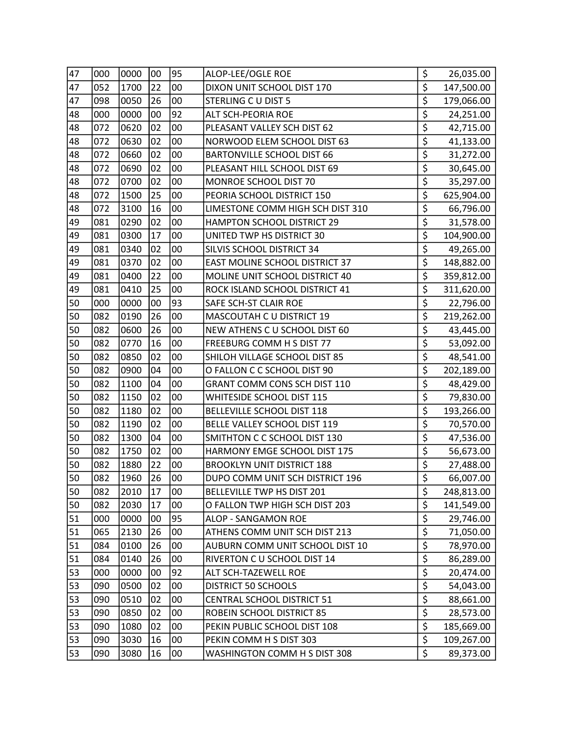| 47 | 000 | 0000 | 00 | 95 | ALOP-LEE/OGLE ROE                   | \$                                  | 26,035.00  |
|----|-----|------|----|----|-------------------------------------|-------------------------------------|------------|
| 47 | 052 | 1700 | 22 | 00 | DIXON UNIT SCHOOL DIST 170          | \$                                  | 147,500.00 |
| 47 | 098 | 0050 | 26 | 00 | STERLING C U DIST 5                 | $\overline{\xi}$                    | 179,066.00 |
| 48 | 000 | 0000 | 00 | 92 | ALT SCH-PEORIA ROE                  | \$                                  | 24,251.00  |
| 48 | 072 | 0620 | 02 | 00 | PLEASANT VALLEY SCH DIST 62         | \$                                  | 42,715.00  |
| 48 | 072 | 0630 | 02 | 00 | NORWOOD ELEM SCHOOL DIST 63         | \$                                  | 41,133.00  |
| 48 | 072 | 0660 | 02 | 00 | <b>BARTONVILLE SCHOOL DIST 66</b>   | \$                                  | 31,272.00  |
| 48 | 072 | 0690 | 02 | 00 | PLEASANT HILL SCHOOL DIST 69        | \$                                  | 30,645.00  |
| 48 | 072 | 0700 | 02 | 00 | MONROE SCHOOL DIST 70               | \$                                  | 35,297.00  |
| 48 | 072 | 1500 | 25 | 00 | PEORIA SCHOOL DISTRICT 150          | \$                                  | 625,904.00 |
| 48 | 072 | 3100 | 16 | 00 | LIMESTONE COMM HIGH SCH DIST 310    | \$                                  | 66,796.00  |
| 49 | 081 | 0290 | 02 | 00 | HAMPTON SCHOOL DISTRICT 29          | $\overline{\boldsymbol{\varsigma}}$ | 31,578.00  |
| 49 | 081 | 0300 | 17 | 00 | UNITED TWP HS DISTRICT 30           | \$                                  | 104,900.00 |
| 49 | 081 | 0340 | 02 | 00 | SILVIS SCHOOL DISTRICT 34           | $\overline{\xi}$                    | 49,265.00  |
| 49 | 081 | 0370 | 02 | 00 | EAST MOLINE SCHOOL DISTRICT 37      | $\overline{\xi}$                    | 148,882.00 |
| 49 | 081 | 0400 | 22 | 00 | MOLINE UNIT SCHOOL DISTRICT 40      | \$                                  | 359,812.00 |
| 49 | 081 | 0410 | 25 | 00 | ROCK ISLAND SCHOOL DISTRICT 41      | $\overline{\boldsymbol{\zeta}}$     | 311,620.00 |
| 50 | 000 | 0000 | 00 | 93 | SAFE SCH-ST CLAIR ROE               | $\overline{\boldsymbol{\varsigma}}$ | 22,796.00  |
| 50 | 082 | 0190 | 26 | 00 | MASCOUTAH C U DISTRICT 19           | $\overline{\boldsymbol{\zeta}}$     | 219,262.00 |
| 50 | 082 | 0600 | 26 | 00 | NEW ATHENS C U SCHOOL DIST 60       | $\overline{\xi}$                    | 43,445.00  |
| 50 | 082 | 0770 | 16 | 00 | FREEBURG COMM H S DIST 77           | \$                                  | 53,092.00  |
| 50 | 082 | 0850 | 02 | 00 | SHILOH VILLAGE SCHOOL DIST 85       | $\overline{\boldsymbol{\xi}}$       | 48,541.00  |
| 50 | 082 | 0900 | 04 | 00 | O FALLON C C SCHOOL DIST 90         | $\overline{\boldsymbol{\varsigma}}$ | 202,189.00 |
| 50 | 082 | 1100 | 04 | 00 | <b>GRANT COMM CONS SCH DIST 110</b> | \$                                  | 48,429.00  |
| 50 | 082 | 1150 | 02 | 00 | WHITESIDE SCHOOL DIST 115           | \$                                  | 79,830.00  |
| 50 | 082 | 1180 | 02 | 00 | BELLEVILLE SCHOOL DIST 118          | $\overline{\xi}$                    | 193,266.00 |
| 50 | 082 | 1190 | 02 | 00 | BELLE VALLEY SCHOOL DIST 119        | $\overline{\xi}$                    | 70,570.00  |
| 50 | 082 | 1300 | 04 | 00 | SMITHTON C C SCHOOL DIST 130        | \$                                  | 47,536.00  |
| 50 | 082 | 1750 | 02 | 00 | HARMONY EMGE SCHOOL DIST 175        | $\overline{\boldsymbol{\zeta}}$     | 56,673.00  |
| 50 | 082 | 1880 | 22 | 00 | <b>BROOKLYN UNIT DISTRICT 188</b>   | $\overline{\xi}$                    | 27,488.00  |
| 50 | 082 | 1960 | 26 | 00 | DUPO COMM UNIT SCH DISTRICT 196     | \$                                  | 66,007.00  |
| 50 | 082 | 2010 | 17 | 00 | BELLEVILLE TWP HS DIST 201          | \$                                  | 248,813.00 |
| 50 | 082 | 2030 | 17 | 00 | O FALLON TWP HIGH SCH DIST 203      | \$                                  | 141,549.00 |
| 51 | 000 | 0000 | 00 | 95 | ALOP - SANGAMON ROE                 | $\overline{\xi}$                    | 29,746.00  |
| 51 | 065 | 2130 | 26 | 00 | ATHENS COMM UNIT SCH DIST 213       | \$                                  | 71,050.00  |
| 51 | 084 | 0100 | 26 | 00 | AUBURN COMM UNIT SCHOOL DIST 10     | $\overline{\xi}$                    | 78,970.00  |
| 51 | 084 | 0140 | 26 | 00 | RIVERTON C U SCHOOL DIST 14         | $\overline{\boldsymbol{\varsigma}}$ | 86,289.00  |
| 53 | 000 | 0000 | 00 | 92 | ALT SCH-TAZEWELL ROE                | \$                                  | 20,474.00  |
| 53 | 090 | 0500 | 02 | 00 | DISTRICT 50 SCHOOLS                 | $\overline{\xi}$                    | 54,043.00  |
| 53 | 090 | 0510 | 02 | 00 | CENTRAL SCHOOL DISTRICT 51          | \$                                  | 88,661.00  |
| 53 | 090 | 0850 | 02 | 00 | ROBEIN SCHOOL DISTRICT 85           | $\overline{\xi}$                    | 28,573.00  |
| 53 | 090 | 1080 | 02 | 00 | PEKIN PUBLIC SCHOOL DIST 108        | $\overline{\xi}$                    | 185,669.00 |
| 53 | 090 | 3030 | 16 | 00 | PEKIN COMM H S DIST 303             | $\overline{\xi}$                    | 109,267.00 |
| 53 | 090 | 3080 | 16 | 00 | WASHINGTON COMM H S DIST 308        | \$                                  | 89,373.00  |